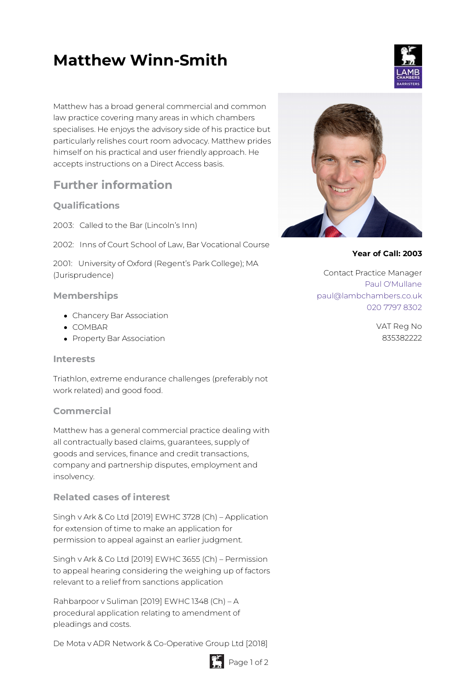# **Matthew Winn-Smith**



Matthew has a broad general commercial and common law practice covering many areas in which chambers specialises. He enjoys the advisory side of his practice but particularly relishes court room advocacy. Matthew prides himself on his practical and user friendly approach. He accepts instructions on a Direct Access basis.

## **Further information**

### **Qualifications**

2003: Called to the Bar (Lincoln's Inn)

2002: Inns of Court School of Law, Bar Vocational Course

2001: University of Oxford (Regent's Park College); MA (Jurisprudence)

#### **Memberships**

- Chancery Bar Association
- COMBAR
- Property Bar Association

#### **Interests**

Triathlon, extreme endurance challenges (preferably not work related) and good food.

#### **Commercial**

Matthew has a general commercial practice dealing with all contractually based claims, guarantees, supply of goods and services, finance and credit transactions, company and partnership disputes, employment and insolvency.

#### **Related cases of interest**

Singh v Ark & Co Ltd [2019] EWHC 3728 (Ch) – Application for extension of time to make an application for permission to appeal against an earlier judgment.

Singh v Ark & Co Ltd [2019] EWHC 3655 (Ch) – Permission to appeal hearing considering the weighing up of factors relevant to a relief from sanctions application

Rahbarpoor v Suliman [2019] EWHC 1348 (Ch) – A procedural application relating to amendment of pleadings and costs.

De Mota v ADR Network & Co-Operative Group Ltd [2018]





Contact Practice Manager Paul [O'Mullane](mailto:paul@lambchambers.co.uk) [paul@lambchambers.co.uk](mailto:paul@lambchambers.co.uk) 020 7797 [8302](tel:020%207797%208302)

> VAT Reg No 835382222